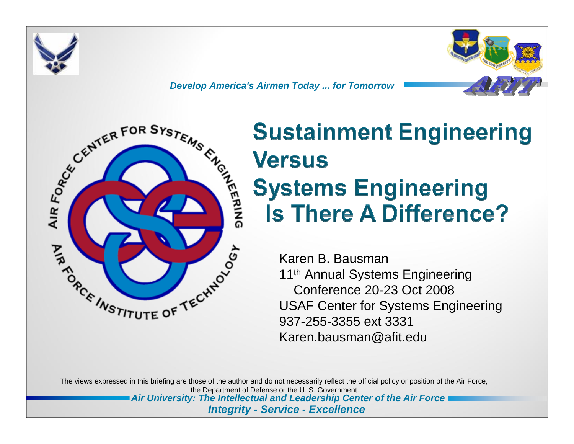





## **Sustainment Engineering Versus Systems Engineering Is There A Difference?**

Karen B. Bausman11<sup>th</sup> Annual Systems Engineering Conference 20-23 Oct 2008USAF Center for Systems Engineering 937-255-3355 ext 3331Karen.bausman@afit.edu

The views expressed in this briefing are those of the author and do not necessarily reflect the official policy or position of the Air Force, the Department of Defense or the U. S. Government.

*Air University: The Intellectual and Leadership Center of the Air Force*

#### *Integrity - Service - Excellence*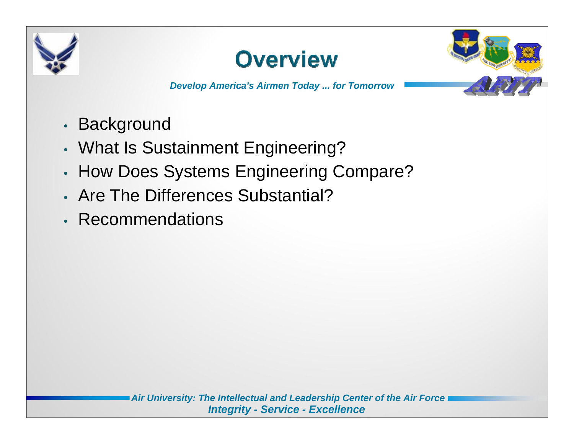



- •• Background
- •What Is Sustainment Engineering?
- •• How Does Systems Engineering Compare?
- Are The Differences Substantial?
- Recommendations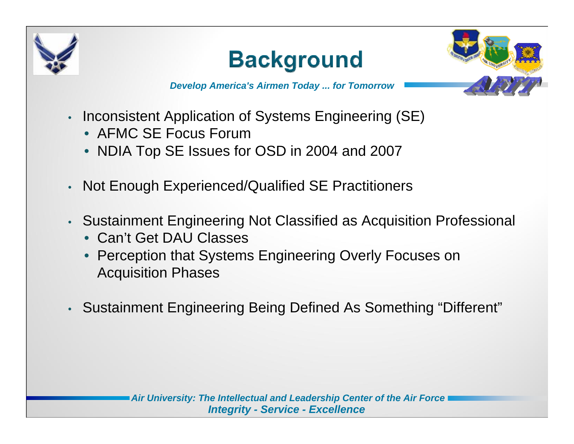





- • Inconsistent Application of Systems Engineering (SE)
	- AFMC SE Focus Forum
	- NDIA Top SE Issues for OSD in 2004 and 2007
- •Not Enough Experienced/Qualified SE Practitioners
- • Sustainment Engineering Not Classified as Acquisition Professional
	- Can't Get DAU Classes
	- Perception that Systems Engineering Overly Focuses on Acquisition Phases
- •Sustainment Engineering Being Defined As Something "Different"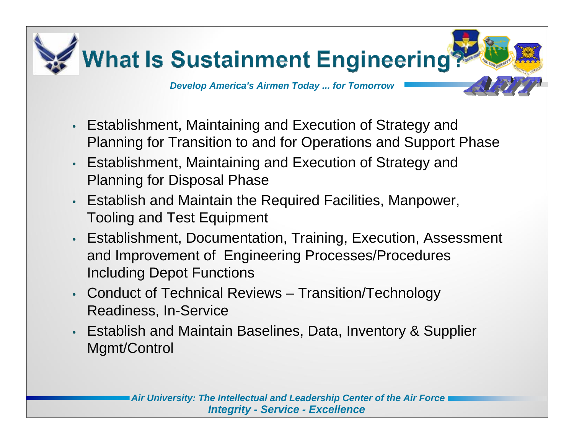

- • Establishment, Maintaining and Execution of Strategy and Planning for Transition to and for Operations and Support Phase
- • Establishment, Maintaining and Execution of Strategy and Planning for Disposal Phase
- Establish and Maintain the Required Facilities, Manpower, Tooling and Test Equipment
- • Establishment, Documentation, Training, Execution, Assessment and Improvement of Engineering Processes/Procedures Including Depot Functions
- • Conduct of Technical Reviews – Transition/Technology Readiness, In-Service
- • Establish and Maintain Baselines, Data, Inventory & Supplier Mgmt/Control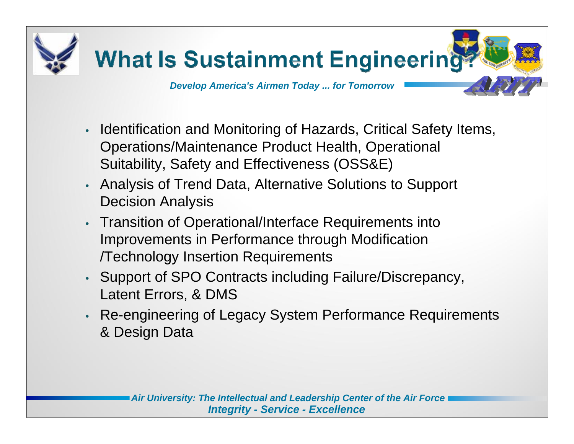

- • Identification and Monitoring of Hazards, Critical Safety Items, Operations/Maintenance Product Health, Operational Suitability, Safety and Effectiveness (OSS&E)
- • Analysis of Trend Data, Alternative Solutions to Support Decision Analysis
- • Transition of Operational/Interface Requirements into Improvements in Performance through Modification /Technology Insertion Requirements
- • Support of SPO Contracts including Failure/Discrepancy, Latent Errors, & DMS
- • Re-engineering of Legacy System Performance Requirements & Design Data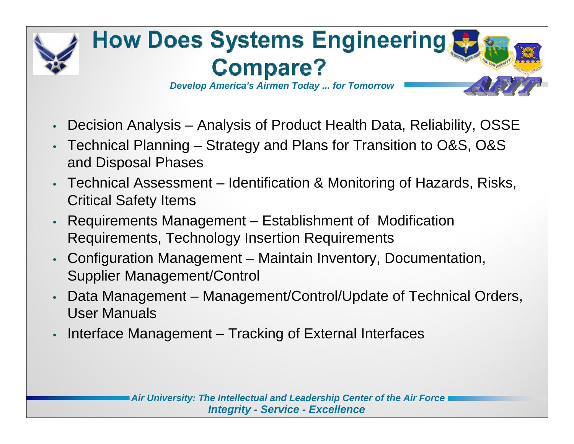

- •Decision Analysis – Analysis of Product Health Data, Reliability, OSSE
- • Technical Planning – Strategy and Plans for Transition to O&S, O&S and Disposal Phases
- • Technical Assessment – Identification & Monitoring of Hazards, Risks, Critical Safety Items
- • Requirements Management – Establishment of Modification Requirements, Technology Insertion Requirements
- • Configuration Management – Maintain Inventory, Documentation, Supplier Management/Control
- • Data Management – Management/Control/Update of Technical Orders, User Manuals
- •Interface Management – Tracking of External Interfaces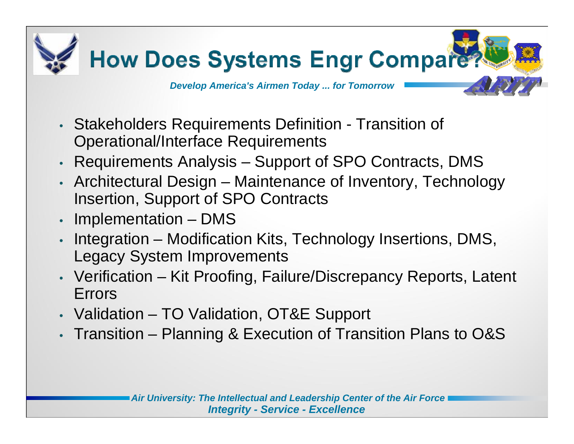

- Stakeholders Requirements Definition Transition of Operational/Interface Requirements
- •Requirements Analysis – Support of SPO Contracts, DMS
- Architectural Design Maintenance of Inventory, Technology Insertion, Support of SPO Contracts
- •Implementation – DMS
- • Integration – Modification Kits, Technology Insertions, DMS, Legacy System Improvements
- Verification Kit Proofing, Failure/Discrepancy Reports, Latent Errors
- Validation TO Validation, OT&E Support
- Transition Planning & Execution of Transition Plans to O&S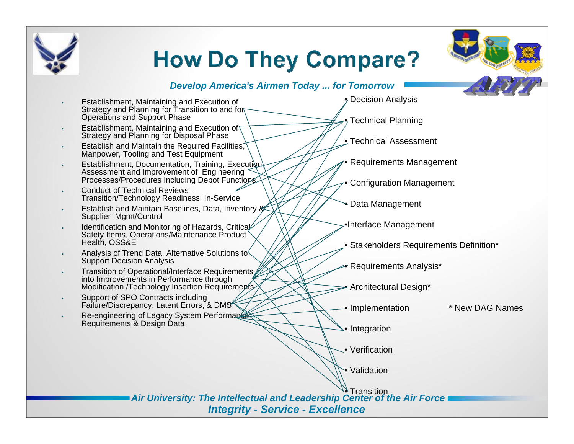

# **How Do They Compare?**

### *Develop America's Airmen Today ... for Tomorrow*

- • Establishment, Maintaining and Execution of Strategy and Planning for Transition to and for Operations and Support Phase
- •**Establishment, Maintaining and Execution of** Strategy and Planning for Disposal Phase
- •Establish and Maintain the Required Facilities, Manpower, Tooling and Test Equipment
- •Establishment, Documentation, Training, Execution, Assessment and Improvement of Engineering Processes/Procedures Including Depot Functions
- • Conduct of Technical Reviews –Transition/Technology Readiness, In-Service
- • Establish and Maintain Baselines, Data, Inventory & Supplier Mgmt/Control
- •Identification and Monitoring of Hazards, Critical Safety Items, Operations/Maintenance Product Health, OSS&E
- • Analysis of Trend Data, Alternative Solutions to Support Decision Analysis
- • Transition of Operational/Interface Requirements into Improvements in Performance through Modification /Technology Insertion Requirements
- • Support of SPO Contracts including Failure/Discrepancy, Latent Errors, & DMS
- •Re-engineering of Legacy System Performance Requirements & Design Data

 $\gamma$  Decision Analysis

 $\stackrel{\bullet}{\mathsf{P}}$ Technical Planning

• Technical Assessment

•Requirements Management

• Configuration Management

• Data Management

•Interface Management

• Stakeholders Requirements Definition\*

• Requirements Analysis\*

• Architectural Design\*

• Implementation

\* New DAG Names

• Integration

• Verification

• Validation

*Air University: The Intellectual and Leadership Center of the Air Force Integrity - Service - Excellence* •**Transition**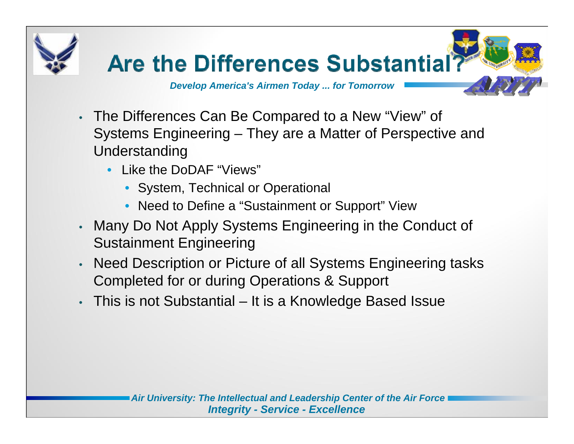

- The Differences Can Be Compared to a New "View" of Systems Engineering – They are a Matter of Perspective and Understanding
	- Like the DoDAF "Views"
		- System, Technical or Operational
		- Need to Define a "Sustainment or Support" View
- Many Do Not Apply Systems Engineering in the Conduct of Sustainment Engineering
- • Need Description or Picture of all Systems Engineering tasks Completed for or during Operations & Support
- •This is not Substantial – It is a Knowledge Based Issue